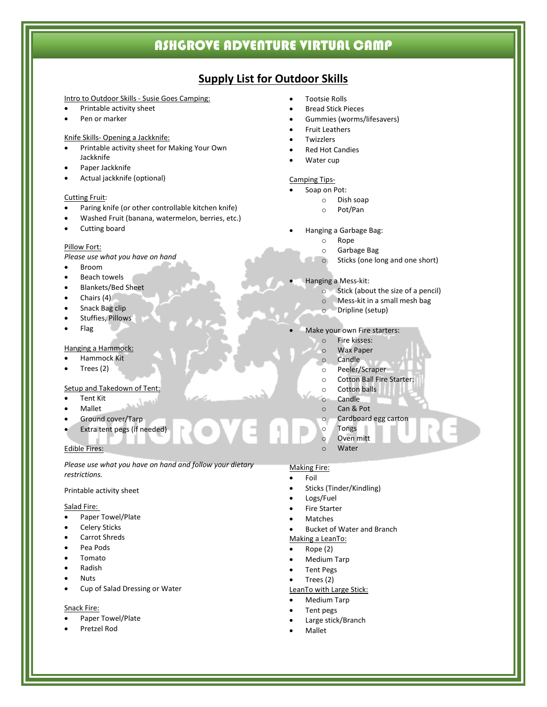# **Supply List for Outdoor Skills**

#### Intro to Outdoor Skills - Susie Goes Camping:

- Printable activity sheet
- Pen or marker

#### Knife Skills- Opening a Jackknife:

- Printable activity sheet for Making Your Own Jackknife
- Paper Jackknife
- Actual jackknife (optional)

#### Cutting Fruit:

- Paring knife (or other controllable kitchen knife)
- Washed Fruit (banana, watermelon, berries, etc.)
- Cutting board

#### Pillow Fort:

*Please use what you have on hand*

- Broom
- **Beach towels**
- Blankets/Bed Sheet
- Chairs (4)
- Snack Bag clip
- Stuffies, Pillows
- Flag

#### Hanging a Hammock:

- Hammock Kit
- Trees (2)

#### Setup and Takedown of Tent:

- **Tent Kit**
- Mallet
- Ground cover/Tarp
- Extra tent pegs (if needed)

#### Edible Fires:

*Please use what you have on hand and follow your dietary restrictions.*

#### Printable activity sheet

#### Salad Fire:

- Paper Towel/Plate
- **Celery Sticks**
- Carrot Shreds
- Pea Pods
- Tomato
- Radish
- Nuts
- Cup of Salad Dressing or Water

#### Snack Fire:

- Paper Towel/Plate
- Pretzel Rod
- Tootsie Rolls
- Bread Stick Pieces
- Gummies (worms/lifesavers)
- Fruit Leathers
- **Twizzlers**
- Red Hot Candies
- Water cup

#### Camping Tips-

- Soap on Pot:
- o Dish soap<br>o Pot/Pan
	- Pot/Pan
- Hanging a Garbage Bag:
	- o Rope
	-
	- o Garbage Bag Sticks (one long and one short)
- Hanging a Mess-kit:
	- o Stick (about the size of a pencil)
	- o Mess-kit in a small mesh bag
	- o Dripline (setup)

#### Make your own Fire starters:

- o Fire kisses:
- o Wax Paper
- o Candle
- o Peeler/Scraper
- o Cotton Ball Fire Starter:
- o Cotton balls
- o Candle
- o Can & Pot
- o Cardboard egg carton
- o Tongs
- o Oven mitt
	- Water

#### Making Fire:

- **Foil**
- Sticks (Tinder/Kindling)
- Logs/Fuel
- **Fire Starter**
- **Matches**
- Bucket of Water and Branch

## Making a LeanTo:

- Rope (2)
- Medium Tarp
- Tent Pegs
- Trees (2)

# LeanTo with Large Stick:

- Medium Tarp
- Tent pegs
- Large stick/Branch
- Mallet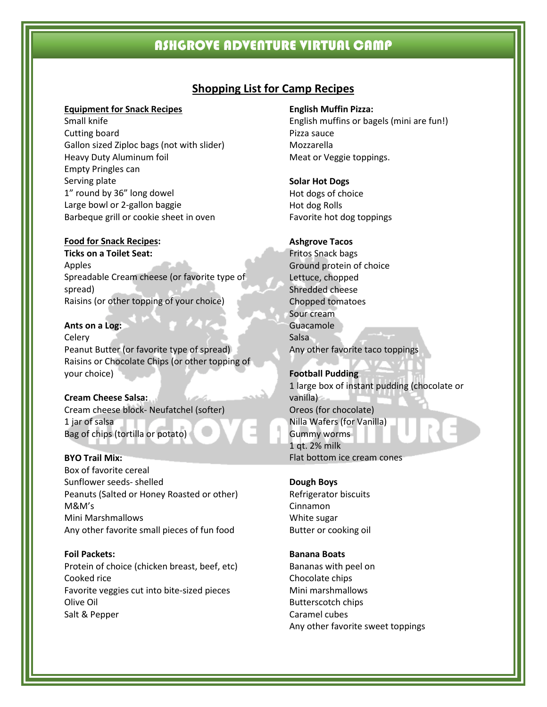# **Shopping List for Camp Recipes**

#### **Equipment for Snack Recipes**

Small knife Cutting board Gallon sized Ziploc bags (not with slider) Heavy Duty Aluminum foil Empty Pringles can Serving plate 1" round by 36" long dowel Large bowl or 2-gallon baggie Barbeque grill or cookie sheet in oven

#### **Food for Snack Recipes:**

**Ticks on a Toilet Seat:** Apples Spreadable Cream cheese (or favorite type of spread) Raisins (or other topping of your choice)

**Ants on a Log:** Celery Peanut Butter (or favorite type of spread) Raisins or Chocolate Chips (or other topping of your choice)

**Cream Cheese Salsa:** Cream cheese block- Neufatchel (softer) 1 jar of salsa Bag of chips (tortilla or potato)

#### **BYO Trail Mix:**

Box of favorite cereal Sunflower seeds- shelled Peanuts (Salted or Honey Roasted or other) M&M's Mini Marshmallows Any other favorite small pieces of fun food

**Foil Packets:** Protein of choice (chicken breast, beef, etc) Cooked rice Favorite veggies cut into bite-sized pieces Olive Oil

#### Salt & Pepper

**English Muffin Pizza:**

English muffins or bagels (mini are fun!) Pizza sauce Mozzarella Meat or Veggie toppings.

#### **Solar Hot Dogs**

Hot dogs of choice Hot dog Rolls Favorite hot dog toppings

#### **Ashgrove Tacos**

Fritos Snack bags Ground protein of choice Lettuce, chopped Shredded cheese Chopped tomatoes Sour cream Guacamole Salsa Any other favorite taco toppings

**Football Pudding** 1 large box of instant pudding (chocolate or vanilla) Oreos (for chocolate) Nilla Wafers (for Vanilla) Gummy worms 1 qt. 2% milk Flat bottom ice cream cones

#### **Dough Boys**

Refrigerator biscuits Cinnamon White sugar Butter or cooking oil

**Banana Boats**

Bananas with peel on Chocolate chips Mini marshmallows Butterscotch chips Caramel cubes Any other favorite sweet toppings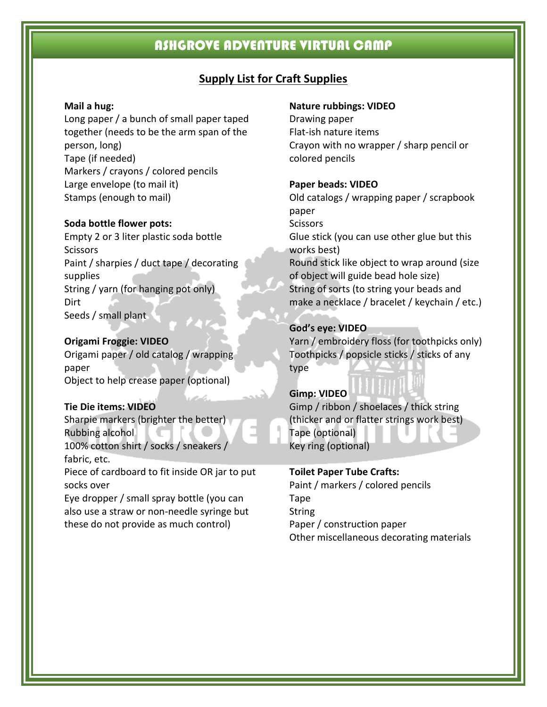# **Supply List for Craft Supplies**

# **Mail a hug:**

Long paper / a bunch of small paper taped together (needs to be the arm span of the person, long) Tape (if needed) Markers / crayons / colored pencils Large envelope (to mail it) Stamps (enough to mail)

## **Soda bottle flower pots:**

Empty 2 or 3 liter plastic soda bottle **Scissors** Paint / sharpies / duct tape / decorating supplies String / yarn (for hanging pot only) **Dirt** Seeds / small plant

# **Origami Froggie: VIDEO**

Origami paper / old catalog / wrapping paper Object to help crease paper (optional)

# **Tie Die items: VIDEO**

Sharpie markers (brighter the better) Rubbing alcohol 100% cotton shirt / socks / sneakers / fabric, etc. Piece of cardboard to fit inside OR jar to put

socks over

Eye dropper / small spray bottle (you can also use a straw or non-needle syringe but these do not provide as much control)

## **Nature rubbings: VIDEO**

Drawing paper Flat-ish nature items Crayon with no wrapper / sharp pencil or colored pencils

# **Paper beads: VIDEO**

Old catalogs / wrapping paper / scrapbook paper **Scissors** Glue stick (you can use other glue but this works best) Round stick like object to wrap around (size of object will guide bead hole size) String of sorts (to string your beads and make a necklace / bracelet / keychain / etc.)

# **God's eye: VIDEO**

Yarn / embroidery floss (for toothpicks only) Toothpicks / popsicle sticks / sticks of any type

# **Gimp: VIDEO**

Gimp / ribbon / shoelaces / thick string (thicker and or flatter strings work best) Tape (optional) Key ring (optional)

# **Toilet Paper Tube Crafts:**

Paint / markers / colored pencils Tape **String** Paper / construction paper Other miscellaneous decorating materials